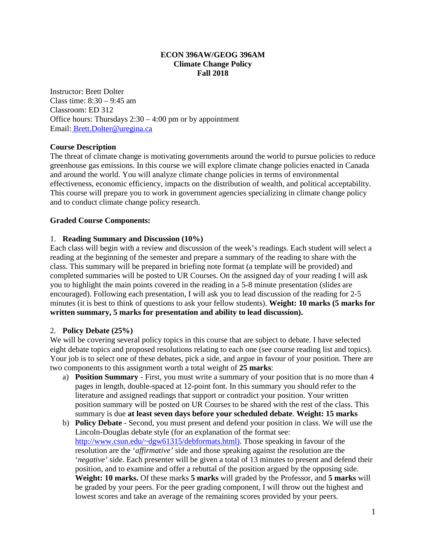### **ECON 396AW/GEOG 396AM Climate Change Policy Fall 2018**

Instructor: Brett Dolter Class time: 8:30 – 9:45 am Classroom: ED 312 Office hours: Thursdays  $2:30 - 4:00$  pm or by appointment Email: Brett.Dolter@uregina.ca

## **Course Description**

The threat of climate change is motivating governments around the world to pursue policies to reduce greenhouse gas emissions. In this course we will explore climate change policies enacted in Canada and around the world. You will analyze climate change policies in terms of environmental effectiveness, economic efficiency, impacts on the distribution of wealth, and political acceptability. This course will prepare you to work in government agencies specializing in climate change policy and to conduct climate change policy research.

### **Graded Course Components:**

#### 1. **Reading Summary and Discussion (10%)**

Each class will begin with a review and discussion of the week's readings. Each student will select a reading at the beginning of the semester and prepare a summary of the reading to share with the class. This summary will be prepared in briefing note format (a template will be provided) and completed summaries will be posted to UR Courses. On the assigned day of your reading I will ask you to highlight the main points covered in the reading in a 5-8 minute presentation (slides are encouraged). Following each presentation, I will ask you to lead discussion of the reading for 2-5 minutes (it is best to think of questions to ask your fellow students). **Weight: 10 marks (5 marks for written summary, 5 marks for presentation and ability to lead discussion).** 

#### 2. **Policy Debate (25%)**

We will be covering several policy topics in this course that are subject to debate. I have selected eight debate topics and proposed resolutions relating to each one (see course reading list and topics). Your job is to select one of these debates, pick a side, and argue in favour of your position. There are two components to this assignment worth a total weight of **25 marks**:

- a) **Position Summary** First, you must write a summary of your position that is no more than 4 pages in length, double-spaced at 12-point font. In this summary you should refer to the literature and assigned readings that support or contradict your position. Your written position summary will be posted on UR Courses to be shared with the rest of the class. This summary is due **at least seven days before your scheduled debate**. **Weight: 15 marks**
- b) **Policy Debate**  Second, you must present and defend your position in class. We will use the Lincoln-Douglas debate style (for an explanation of the format see: [http://www.csun.edu/~dgw61315/debformats.html\)](http://www.csun.edu/%7Edgw61315/debformats.html). Those speaking in favour of the resolution are the '*affirmative'* side and those speaking against the resolution are the '*negative'* side. Each presenter will be given a total of 13 minutes to present and defend their position, and to examine and offer a rebuttal of the position argued by the opposing side. **Weight: 10 marks.** Of these marks **5 marks** will graded by the Professor, and **5 marks** will be graded by your peers. For the peer grading component, I will throw out the highest and lowest scores and take an average of the remaining scores provided by your peers.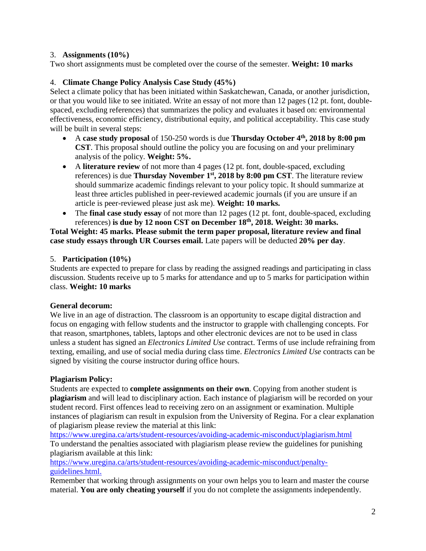# 3. **Assignments (10%)**

Two short assignments must be completed over the course of the semester. **Weight: 10 marks**

# 4. **Climate Change Policy Analysis Case Study (45%)**

Select a climate policy that has been initiated within Saskatchewan, Canada, or another jurisdiction, or that you would like to see initiated. Write an essay of not more than 12 pages (12 pt. font, doublespaced, excluding references) that summarizes the policy and evaluates it based on: environmental effectiveness, economic efficiency, distributional equity, and political acceptability. This case study will be built in several steps:

- A **case study proposal** of 150-250 words is due **Thursday October 4th, 2018 by 8:00 pm CST**. This proposal should outline the policy you are focusing on and your preliminary analysis of the policy. **Weight: 5%.**
- A **literature review** of not more than 4 pages (12 pt. font, double-spaced, excluding references) is due **Thursday November 1st, 2018 by 8:00 pm CST**. The literature review should summarize academic findings relevant to your policy topic. It should summarize at least three articles published in peer-reviewed academic journals (if you are unsure if an article is peer-reviewed please just ask me). **Weight: 10 marks.**
- The **final case study essay** of not more than 12 pages (12 pt. font, double-spaced, excluding references) **is due by 12 noon CST on December 18th, 2018. Weight: 30 marks.**

**Total Weight: 45 marks. Please submit the term paper proposal, literature review and final case study essays through UR Courses email.** Late papers will be deducted **20% per day**.

# 5. **Participation (10%)**

Students are expected to prepare for class by reading the assigned readings and participating in class discussion. Students receive up to 5 marks for attendance and up to 5 marks for participation within class. **Weight: 10 marks**

## **General decorum:**

We live in an age of distraction. The classroom is an opportunity to escape digital distraction and focus on engaging with fellow students and the instructor to grapple with challenging concepts. For that reason, smartphones, tablets, laptops and other electronic devices are not to be used in class unless a student has signed an *Electronics Limited Use* contract. Terms of use include refraining from texting, emailing, and use of social media during class time. *Electronics Limited Use* contracts can be signed by visiting the course instructor during office hours.

## **Plagiarism Policy:**

Students are expected to **complete assignments on their own**. Copying from another student is **plagiarism** and will lead to disciplinary action. Each instance of plagiarism will be recorded on your student record. First offences lead to receiving zero on an assignment or examination. Multiple instances of plagiarism can result in expulsion from the University of Regina. For a clear explanation of plagiarism please review the material at this link:

<https://www.uregina.ca/arts/student-resources/avoiding-academic-misconduct/plagiarism.html> To understand the penalties associated with plagiarism please review the guidelines for punishing plagiarism available at this link:

[https://www.uregina.ca/arts/student-resources/avoiding-academic-misconduct/penalty](https://www.uregina.ca/arts/student-resources/avoiding-academic-misconduct/penalty-guidelines.html)[guidelines.html.](https://www.uregina.ca/arts/student-resources/avoiding-academic-misconduct/penalty-guidelines.html)

Remember that working through assignments on your own helps you to learn and master the course material. **You are only cheating yourself** if you do not complete the assignments independently.